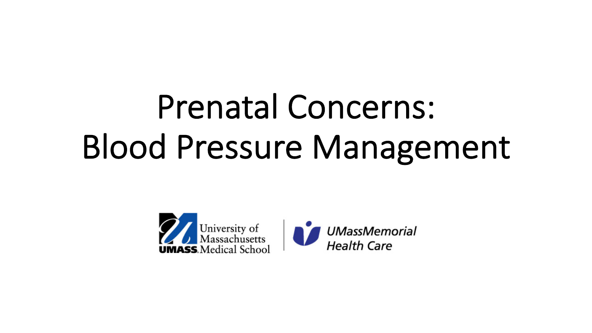# Prenatal Concerns: Blood Pressure Management

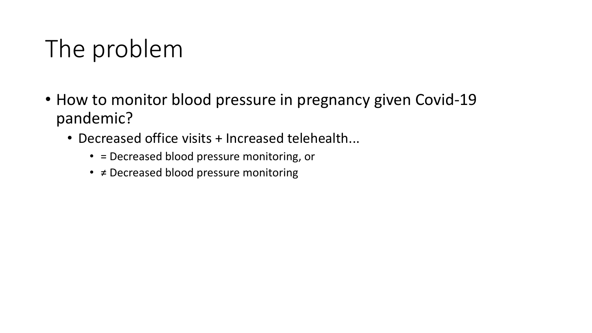## The problem

- How to monitor blood pressure in pregnancy given Covid-19 pandemic?
	- Decreased office visits + Increased telehealth...
		- = Decreased blood pressure monitoring, or
		- ≠ Decreased blood pressure monitoring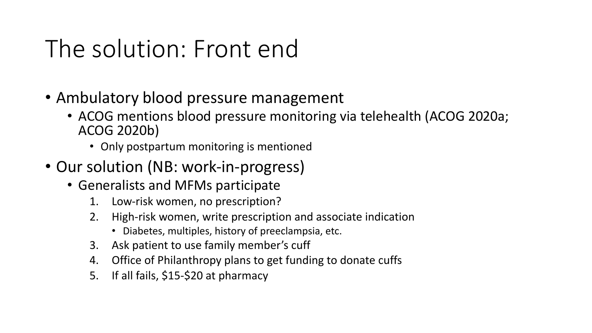### The solution: Front end

- Ambulatory blood pressure management
	- ACOG mentions blood pressure monitoring via telehealth (ACOG 2020a; ACOG 2020b)
		- Only postpartum monitoring is mentioned
- Our solution (NB: work-in-progress)
	- Generalists and MFMs participate
		- 1. Low-risk women, no prescription?
		- 2. High-risk women, write prescription and associate indication
			- Diabetes, multiples, history of preeclampsia, etc.
		- 3. Ask patient to use family member's cuff
		- 4. Office of Philanthropy plans to get funding to donate cuffs
		- 5. If all fails, \$15-\$20 at pharmacy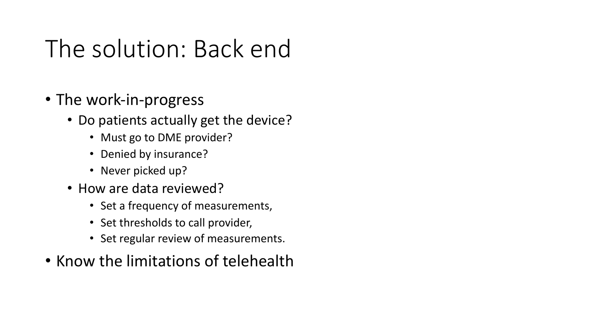### The solution: Back end

- The work-in-progress
	- Do patients actually get the device?
		- Must go to DME provider?
		- Denied by insurance?
		- Never picked up?
	- How are data reviewed?
		- Set a frequency of measurements,
		- Set thresholds to call provider,
		- Set regular review of measurements.
- Know the limitations of telehealth